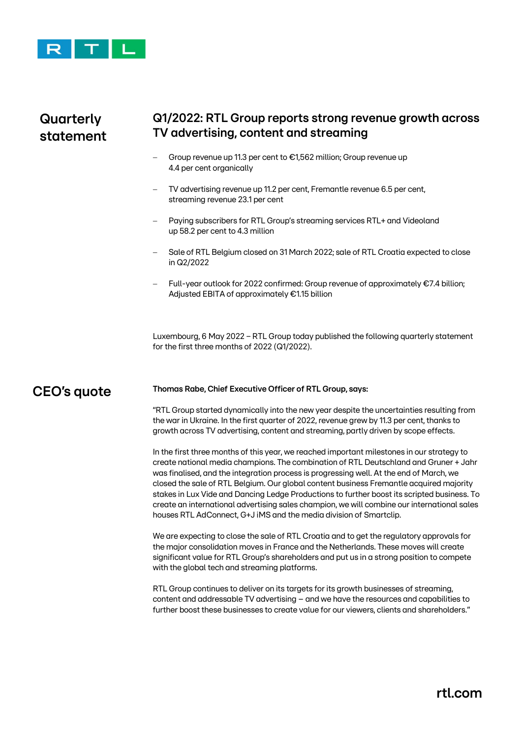

# **Quarterly statement**

### **Q1/2022: RTL Group reports strong revenue growth across TV advertising, content and streaming**

- − Group revenue up 11.3 per cent to €1,562 million; Group revenue up 4.4 per cent organically
- TV advertising revenue up 11.2 per cent, Fremantle revenue 6.5 per cent, streaming revenue 23.1 per cent
- Paying subscribers for RTL Group's streaming services RTL+ and Videoland up 58.2 per cent to 4.3 million
- − Sale of RTL Belgium closed on 31 March 2022; sale of RTL Croatia expected to close in Q2/2022
- − Full-year outlook for 2022 confirmed: Group revenue of approximately €7.4 billion; Adjusted EBITA of approximately €1.15 billion

Luxembourg, 6 May 2022 − RTL Group today published the following quarterly statement for the first three months of 2022 (Q1/2022).

## **CEO's quote**

#### **Thomas Rabe, Chief Executive Officer of RTL Group, says:**

"RTL Group started dynamically into the new year despite the uncertainties resulting from the war in Ukraine. In the first quarter of 2022, revenue grew by 11.3 per cent, thanks to growth across TV advertising, content and streaming, partly driven by scope effects.

In the first three months of this year, we reached important milestones in our strategy to create national media champions. The combination of RTL Deutschland and Gruner + Jahr was finalised, and the integration process is progressing well. At the end of March, we closed the sale of RTL Belgium. Our global content business Fremantle acquired majority stakes in Lux Vide and Dancing Ledge Productions to further boost its scripted business. To create an international advertising sales champion, we will combine our international sales houses RTL AdConnect, G+J iMS and the media division of Smartclip.

We are expecting to close the sale of RTL Croatia and to get the regulatory approvals for the major consolidation moves in France and the Netherlands. These moves will create significant value for RTL Group's shareholders and put us in a strong position to compete with the global tech and streaming platforms.

RTL Group continues to deliver on its targets for its growth businesses of streaming, content and addressable TV advertising – and we have the resources and capabilities to further boost these businesses to create value for our viewers, clients and shareholders."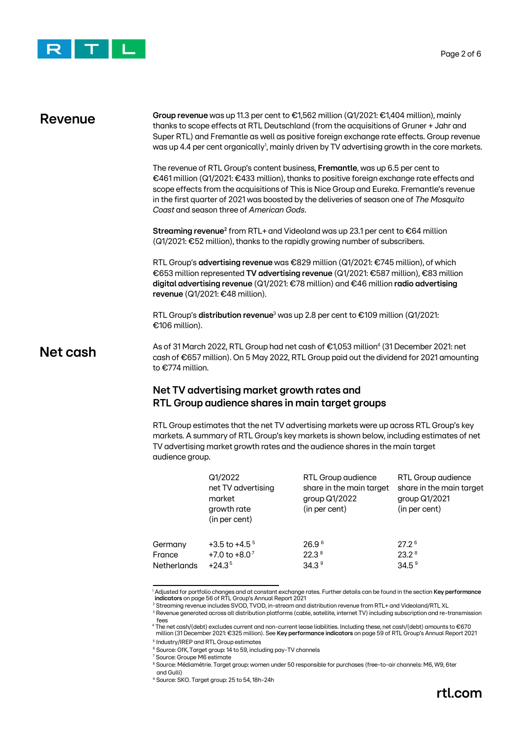

### **Group revenue** was up 11.3 per cent to €1,562 million (Q1/2021: €1,404 million), mainly thanks to scope effects at RTL Deutschland (from the acquisitions of Gruner + Jahr and Super RTL) and Fremantle as well as positive foreign exchange rate effects. Group revenue was up 4.4 per cent organically<sup>1</sup>, mainly driven by TV advertising growth in the core markets. The revenue of RTL Group's content business, **Fremantle**, was up 6.5 per cent to €461 million (Q1/2021: €433 million), thanks to positive foreign exchange rate effects and scope effects from the acquisitions of This is Nice Group and Eureka. Fremantle's revenue in the first quarter of 2021 was boosted by the deliveries of season one of *The Mosquito Coast* and season three of *American Gods*. **Streaming revenue<sup>2</sup> from RTL+ and Videoland was up 23.1 per cent to €64 million** (Q1/2021: €52 million), thanks to the rapidly growing number of subscribers. RTL Group's **advertising revenue** was €829 million (Q1/2021: €745 million), of which €653 million represented **TV advertising revenue** (Q1/2021: €587 million), €83 million **digital advertising revenue** (Q1/2021: €78 million) and €46 million **radio advertising revenue** (Q1/2021: €48 million). RTL Group's **distribution revenue**<sup>3</sup> was up 2.8 per cent to €109 million (Q1/2021: €106 million). As of 31 March 2022, RTL Group had net cash of €1,053 million<sup>4</sup> (31 December 2021: net cash of €657 million). On 5 May 2022, RTL Group paid out the dividend for 2021 amounting to €774 million. **Net TV advertising market growth rates and Revenue Net cash**

# **RTL Group audience shares in main target groups**

RTL Group estimates that the net TV advertising markets were up across RTL Group's key markets. A summary of RTL Group's key markets is shown below, including estimates of net TV advertising market growth rates and the audience shares in the main target audience group.

|                    | Q1/2022<br>net TV advertising<br>market<br>growth rate<br>(in per cent) | RTL Group audience<br>share in the main target<br>group Q1/2022<br>(in per cent) | RTL Group audience<br>share in the main target<br>group Q1/2021<br>(in per cent) |
|--------------------|-------------------------------------------------------------------------|----------------------------------------------------------------------------------|----------------------------------------------------------------------------------|
| Germany            | $+3.5$ to $+4.5$ <sup>5</sup>                                           | 26.9 <sup>6</sup>                                                                | 27.2 <sup>6</sup>                                                                |
| France             | $+7.0$ to $+8.0$ <sup>7</sup>                                           | 22.3 <sup>8</sup>                                                                | 23.2 <sup>8</sup>                                                                |
| <b>Netherlands</b> | $+24.35$                                                                | 34.3 <sup>9</sup>                                                                | 34.5 <sup>9</sup>                                                                |

<sup>1</sup> Adjusted for portfolio changes and at constant exchange rates. Further details can be found in the section **Key performance indicators** on page 56 of RTL Group's Annual Report 2021

<sup>2</sup> Streaming revenue includes SVOD, TVOD, in-stream and distribution revenue from RTL+ and Videoland/RTL XL

<sup>3</sup> Revenue generated across all distribution platforms (cable, satellite, internet TV) including subscription and re-transmission fees

<sup>4</sup> The net cash/(debt) excludes current and non-current lease liabilities. Including these, net cash/(debt) amounts to €670 million (31 December 2021: €325 million). See **Key performance indicators** on page 59 of RTL Group's Annual Report 2021

5 Industry/IREP and RTL Group estimates

<sup>7</sup> Source: Groupe M6 estimate

<sup>8</sup> Source: Médiamétrie. Target group: women under 50 responsible for purchases (free-to-air channels: M6, W9, 6ter and Gulli)

<sup>9</sup> Source: SKO. Target group: 25 to 54, 18h-24h

<sup>&</sup>lt;sup>6</sup> Source: GfK, Target group: 14 to 59, including pay-TV channels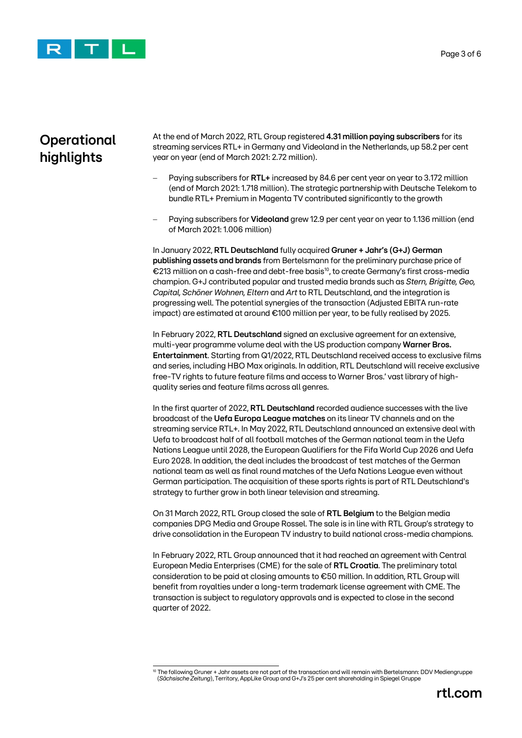

# **Operational highlights**

At the end of March 2022, RTL Group registered **4.31 million paying subscribers** for its streaming services RTL+ in Germany and Videoland in the Netherlands, up 58.2 per cent year on year (end of March 2021: 2.72 million).

- − Paying subscribers for **RTL+** increased by 84.6 per cent year on year to 3.172 million (end of March 2021: 1.718 million). The strategic partnership with Deutsche Telekom to bundle RTL+ Premium in Magenta TV contributed significantly to the growth
- − Paying subscribers for **Videoland** grew 12.9 per cent year on year to 1.136 million (end of March 2021: 1.006 million)

In January 2022, **RTL Deutschland** fully acquired **Gruner + Jahr's (G+J) German publishing assets and brands** from Bertelsmann for the preliminary purchase price of €213 million on a cash-free and debt-free basis<sup>10</sup>, to create Germany's first cross-media champion. G+J contributed popular and trusted media brands such as *Stern, Brigitte, Geo, Capital, Schöner Wohnen, Eltern* and *Art* to RTL Deutschland, and the integration is progressing well. The potential synergies of the transaction (Adjusted EBITA run-rate impact) are estimated at around €100 million per year, to be fully realised by 2025.

In February 2022, **RTL Deutschland** signed an exclusive agreement for an extensive, multi-year programme volume deal with the US production company **Warner Bros. Entertainment**. Starting from Q1/2022, RTL Deutschland received access to exclusive films and series, including HBO Max originals. In addition, RTL Deutschland will receive exclusive free-TV rights to future feature films and access to Warner Bros.' vast library of highquality series and feature films across all genres.

In the first quarter of 2022, **RTL Deutschland** recorded audience successes with the live broadcast of the **Uefa Europa League matches** on its linear TV channels and on the streaming service RTL+. In May 2022, RTL Deutschland announced an extensive deal with Uefa to broadcast half of all football matches of the German national team in the Uefa Nations League until 2028, the European Qualifiers for the Fifa World Cup 2026 and Uefa Euro 2028. In addition, the deal includes the broadcast of test matches of the German national team as well as final round matches of the Uefa Nations League even without German participation. The acquisition of these sports rights is part of RTL Deutschland's strategy to further grow in both linear television and streaming.

On 31 March 2022, RTL Group closed the sale of **RTL Belgium** to the Belgian media companies DPG Media and Groupe Rossel. The sale is in line with RTL Group's strategy to drive consolidation in the European TV industry to build national cross-media champions.

In February 2022, RTL Group announced that it had reached an agreement with Central European Media Enterprises (CME) for the sale of **RTL Croatia**. The preliminary total consideration to be paid at closing amounts to €50 million. In addition, RTL Group will benefit from royalties under a long-term trademark license agreement with CME. The transaction is subject to regulatory approvals and is expected to close in the second quarter of 2022.

 $10$  The following Gruner + Jahr assets are not part of the transaction and will remain with Bertelsmann: DDV Mediengruppe (*Sächsische Zeitung*), Territory, AppLike Group and G+J's 25 per cent shareholding in Spiegel Gruppe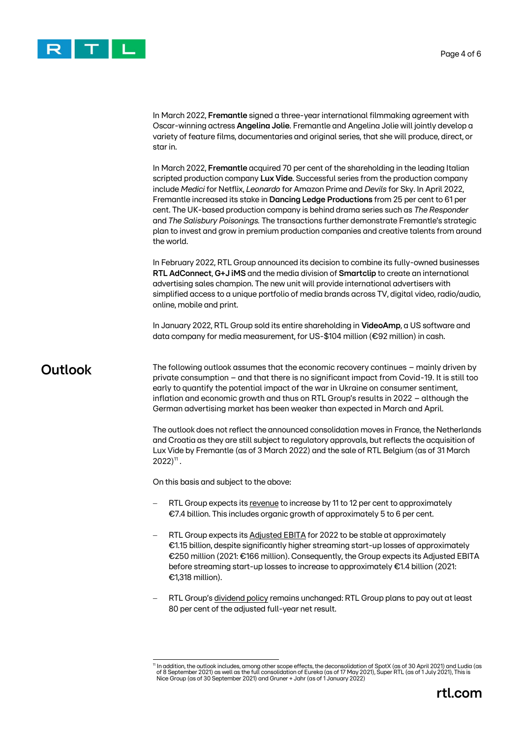

In March 2022, **Fremantle** signed a three-year international filmmaking agreement with Oscar-winning actress **Angelina Jolie**. Fremantle and Angelina Jolie will jointly develop a variety of feature films, documentaries and original series, that she will produce, direct, or star in.

In March 2022, **Fremantle** acquired 70 per cent of the shareholding in the leading Italian scripted production company **Lux Vide**. Successful series from the production company include *Medici* for Netflix, *Leonardo* for Amazon Prime and *Devils* for Sky. In April 2022, Fremantle increased its stake in **Dancing Ledge Productions** from 25 per cent to 61 per cent. The UK-based production company is behind drama series such as *The Responder*  and *The Salisbury Poisonings.* The transactions further demonstrate Fremantle's strategic plan to invest and grow in premium production companies and creative talents from around the world.

In February 2022, RTL Group announced its decision to combine its fully-owned businesses **RTL AdConnect**, **G+J iMS** and the media division of **Smartclip** to create an international advertising sales champion. The new unit will provide international advertisers with simplified access to a unique portfolio of media brands across TV, digital video, radio/audio, online, mobile and print.

In January 2022, RTL Group sold its entire shareholding in **VideoAmp**, a US software and data company for media measurement, for US-\$104 million (€92 million) in cash.

### **Outlook**

The following outlook assumes that the economic recovery continues – mainly driven by private consumption – and that there is no significant impact from Covid-19. It is still too early to quantify the potential impact of the war in Ukraine on consumer sentiment, inflation and economic growth and thus on RTL Group's results in 2022 – although the German advertising market has been weaker than expected in March and April.

The outlook does not reflect the announced consolidation moves in France, the Netherlands and Croatia as they are still subject to regulatory approvals, but reflects the acquisition of Lux Vide by Fremantle (as of 3 March 2022) and the sale of RTL Belgium (as of 31 March  $2022$ <sup>11</sup>.

On this basis and subject to the above:

- RTL Group expects its revenue to increase by 11 to 12 per cent to approximately €7.4 billion. This includes organic growth of approximately 5 to 6 per cent.
- RTL Group expects its Adjusted EBITA for 2022 to be stable at approximately €1.15 billion, despite significantly higher streaming start-up losses of approximately €250 million (2021: €166 million). Consequently, the Group expects its Adjusted EBITA before streaming start-up losses to increase to approximately €1.4 billion (2021: €1,318 million).
- RTL Group's dividend policy remains unchanged: RTL Group plans to pay out at least 80 per cent of the adjusted full-year net result.

<sup>&</sup>lt;sup>11</sup> In addition, the outlook includes, among other scope effects, the deconsolidation of SpotX (as of 30 April 2021) and Ludia (as<br>of 8 September 2021) as well as the full consolidation of Eureka (as of 17 May 2021), Supe Nice Group (as of 30 September 2021) and Gruner + Jahr (as of 1 January 2022)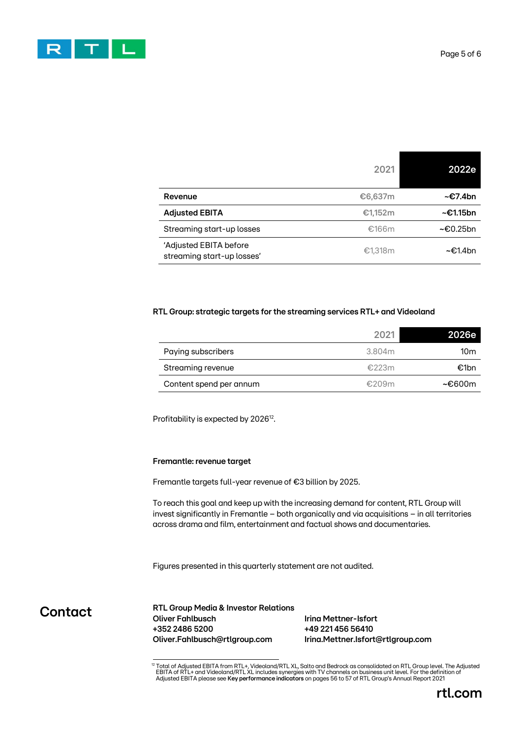

|                                                      | 2021    | 2022e       |
|------------------------------------------------------|---------|-------------|
| Revenue                                              | €6,637m | ~€7.4bn     |
| <b>Adjusted EBITA</b>                                | €1,152m | ~€1.15bn    |
| Streaming start-up losses                            | €166m   | $~5$ 0.25bn |
| 'Adjusted EBITA before<br>streaming start-up losses' | €1,318m | ~€1.4bn     |

#### **RTL Group: strategic targets for the streaming services RTL+ and Videoland**

|                         | 2021   | 2026e  |
|-------------------------|--------|--------|
| Paying subscribers      | 3.804m | 10m    |
| Streaming revenue       | €223m  | €1bn   |
| Content spend per annum | £209m  | ~€600m |

Profitability is expected by 2026<sup>12</sup>.

#### **Fremantle: revenue target**

Fremantle targets full-year revenue of €3 billion by 2025.

To reach this goal and keep up with the increasing demand for content, RTL Group will invest significantly in Fremantle – both organically and via acquisitions – in all territories across drama and film, entertainment and factual shows and documentaries.

Figures presented in this quarterly statement are not audited.

**Contact**

**RTL Group Media & Investor Relations Oliver Fahlbusch Irina Mettner-Isfort +352 2486 5200 +49 221 456 56410 Oliver.Fahlbusch@rtlgroup.com Irina.Mettner.Isfort@rtlgroup.com**

<sup>&</sup>lt;sup>12</sup> Total of Adjusted EBITA from RTL+, Videoland/RTL XL, Salto and Bedrock as consolidated on RTL Group level. The Adjusted<br>EBITA of RTL+ and Videoland/RTL XL includes synergies with TV channels on business unit level. Fo Adjusted EBITA please see **Key performance indicators** on pages 56 to 57 of RTL Group's Annual Report 2021